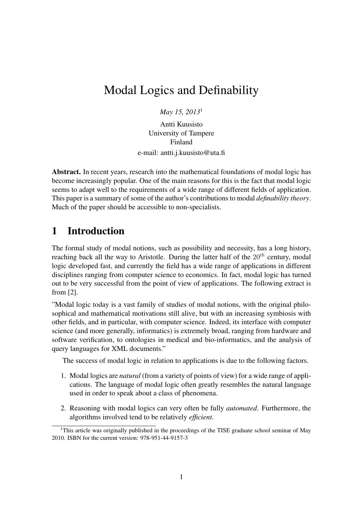# Modal Logics and Definability

*May 15, 2013*<sup>1</sup>

Antti Kuusisto University of Tampere Finland

e-mail: antti.j.kuusisto@uta.fi

Abstract. In recent years, research into the mathematical foundations of modal logic has become increasingly popular. One of the main reasons for this is the fact that modal logic seems to adapt well to the requirements of a wide range of different fields of application. This paper is a summary of some of the author's contributions to modal *definability theory*. Much of the paper should be accessible to non-specialists.

## 1 Introduction

The formal study of modal notions, such as possibility and necessity, has a long history, reaching back all the way to Aristotle. During the latter half of the  $20^{th}$  century, modal logic developed fast, and currently the field has a wide range of applications in different disciplines ranging from computer science to economics. In fact, modal logic has turned out to be very successful from the point of view of applications. The following extract is from [2].

"Modal logic today is a vast family of studies of modal notions, with the original philosophical and mathematical motivations still alive, but with an increasing symbiosis with other fields, and in particular, with computer science. Indeed, its interface with computer science (and more generally, informatics) is extremely broad, ranging from hardware and software verification, to ontologies in medical and bio-informatics, and the analysis of query languages for XML documents."

The success of modal logic in relation to applications is due to the following factors.

- 1. Modal logics are *natural* (from a variety of points of view) for a wide range of applications. The language of modal logic often greatly resembles the natural language used in order to speak about a class of phenomena.
- 2. Reasoning with modal logics can very often be fully *automated*. Furthermore, the algorithms involved tend to be relatively *efficient*.

<sup>&</sup>lt;sup>1</sup>This article was originally published in the proceedings of the TISE graduate school seminar of May 2010. ISBN for the current version: 978-951-44-9157-3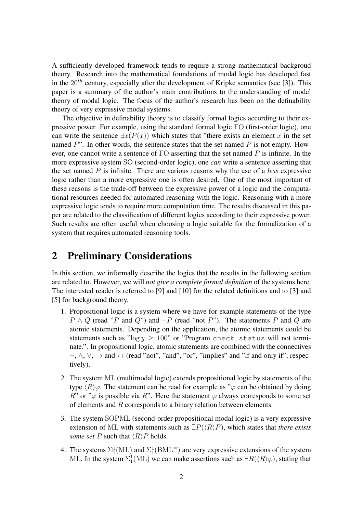A sufficiently developed framework tends to require a strong mathematical backgroud theory. Research into the mathematical foundations of modal logic has developed fast in the  $20^{th}$  century, especially after the development of Kripke semantics (see [3]). This paper is a summary of the author's main contributions to the understanding of model theory of modal logic. The focus of the author's research has been on the definability theory of very expressive modal systems.

The objective in definability theory is to classify formal logics according to their expressive power. For example, using the standard formal logic FO (first-order logic), one can write the sentence  $\exists x(P(x))$  which states that "there exists an element x in the set named  $P$ ". In other words, the sentence states that the set named  $P$  is not empty. However, one cannot write a sentence of FO asserting that the set named  $P$  is infinite. In the more expressive system SO (second-order logic), one *can* write a sentence asserting that the set named P is infinite. There are various reasons why the use of a *less* expressive logic rather than a more expressive one is often desired. One of the most important of these reasons is the trade-off between the expressive power of a logic and the computational resources needed for automated reasoning with the logic. Reasoning with a more expressive logic tends to require more computation time. The results discussed in this paper are related to the classification of different logics according to their expressive power. Such results are often useful when choosing a logic suitable for the formalization of a system that requires automated reasoning tools.

## 2 Preliminary Considerations

In this section, we informally describe the logics that the results in the following section are related to. However, we will *not give a complete formal definition* of the systems here. The interested reader is referred to [9] and [10] for the related definitions and to [3] and [5] for background theory.

- 1. Propositional logic is a system where we have for example statements of the type  $P \wedge Q$  (read "P and Q") and  $\neg P$  (read "not P"). The statements P and Q are atomic statements. Depending on the application, the atomic statements could be statements such as "log  $y \ge 100$ " or "Program check\_status will not terminate.". In propositional logic, atomic statements are combined with the connectives  $\neg, \wedge, \vee, \rightarrow$  and  $\leftrightarrow$  (read "not", "and", "or", "implies" and "if and only if", respectively).
- 2. The system ML (multimodal logic) extends propositional logic by statements of the type  $\langle R \rangle \varphi$ . The statement can be read for example as " $\varphi$  can be obtained by doing R" or " $\varphi$  is possible via R". Here the statement  $\varphi$  always corresponds to some set of elements and R corresponds to a binary relation between elements.
- 3. The system SOPML (second-order propositional modal logic) is a very expressive extension of ML with statements such as  $\exists P(\langle R \rangle P)$ , which states that *there exists some set* P such that  $\langle R \rangle$ P holds.
- 4. The systems  $\Sigma_1^1(\text{ML})$  and  $\Sigma_1^1(\text{BML}^=)$  are very expressive extensions of the system ML. In the system  $\Sigma_1^1(\rm ML)$  we can make assertions such as  $\exists R(\langle R\rangle\varphi)$ , stating that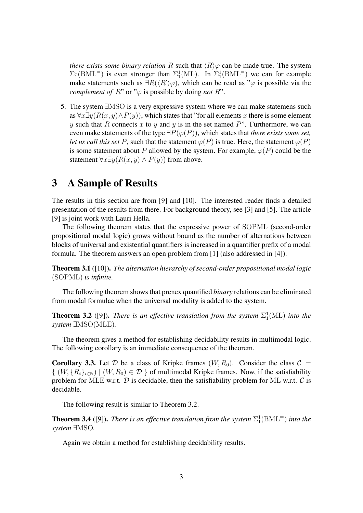*there exists some binary relation* R such that  $\langle R \rangle \varphi$  can be made true. The system  $\Sigma_1^1(BML^-)$  is even stronger than  $\Sigma_1^1(ML)$ . In  $\Sigma_1^1(BML^-)$  we can for example make statements such as  $\exists R(\langle R'\rangle\varphi)$ , which can be read as " $\varphi$  is possible via the *complement of*  $R$ " or " $\varphi$  is possible by doing *not*  $R$ ".

5. The system ∃MSO is a very expressive system where we can make statemens such as  $\forall x \exists y (R(x, y) \land P(y))$ , which states that "for all elements x there is some element y such that R connects x to y and y is in the set named  $P$ ". Furthermore, we can even make statements of the type  $\exists P(\varphi(P))$ , which states that *there exists some set*, *let us call this set* P, such that the statement  $\varphi(P)$  is true. Here, the statement  $\varphi(P)$ is some statement about P allowed by the system. For example,  $\varphi(P)$  could be the statement  $\forall x \exists y (R(x, y) \land P(y))$  from above.

#### 3 A Sample of Results

The results in this section are from [9] and [10]. The interested reader finds a detailed presentation of the results from there. For background theory, see [3] and [5]. The article [9] is joint work with Lauri Hella.

The following theorem states that the expressive power of SOPML (second-order propositional modal logic) grows without bound as the number of alternations between blocks of universal and existential quantifiers is increased in a quantifier prefix of a modal formula. The theorem answers an open problem from [1] (also addressed in [4]).

Theorem 3.1 ([10]). *The alternation hierarchy of second-order propositional modal logic* (SOPML) *is infinite.*

The following theorem shows that prenex quantified *binary* relations can be eliminated from modal formulae when the universal modality is added to the system.

**Theorem 3.2** ([9]). *There is an effective translation from the system*  $\Sigma_1^1(\text{ML})$  *into the system* ∃MSO(MLE)*.*

The theorem gives a method for establishing decidability results in multimodal logic. The following corollary is an immediate consequence of the theorem.

**Corollary 3.3.** Let D be a class of Kripke frames  $(W, R_0)$ . Consider the class  $C =$  $\{ (W, \{R_i\}_{i\in\mathbb{N}}) \mid (W, R_0) \in \mathcal{D} \}$  of multimodal Kripke frames. Now, if the satisfiability problem for MLE w.r.t.  $\mathcal D$  is decidable, then the satisfiability problem for ML w.r.t.  $\mathcal C$  is decidable.

The following result is similar to Theorem 3.2.

**Theorem 3.4** ([9]). *There is an effective translation from the system*  $\Sigma_1^1(BML^=)$  *into the system* ∃MSO*.*

Again we obtain a method for establishing decidability results.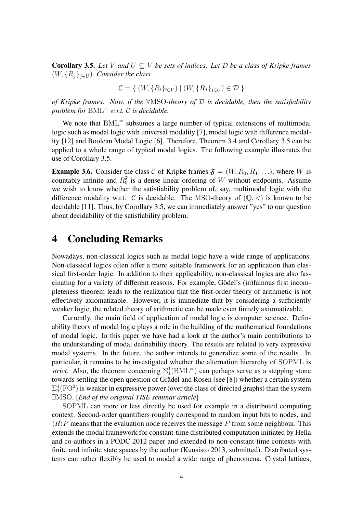**Corollary 3.5.** Let V and  $U \subseteq V$  be sets of indices. Let  $D$  be a class of Kripke frames  $(W, \{R_i\}_{i\in U})$ *. Consider the class* 

$$
\mathcal{C} = \{ (W, \{R_i\}_{i \in V}) \mid (W, \{R_j\}_{j \in U}) \in \mathcal{D} \}
$$

*of Kripke frames. Now, if the* ∀MSO*-theory of* D *is decidable, then the satisfiability problem for* BML<sup>=</sup> *w.r.t.* C *is decidable.*

We note that  $BML$ <sup>=</sup> subsumes a large number of typical extensions of multimodal logic such as modal logic with universal modality [7], modal logic with difference modality [12] and Boolean Modal Logic [6]. Therefore, Theorem 3.4 and Corollary 3.5 can be applied to a whole range of typical modal logics. The following example illustrates the use of Corollary 3.5.

**Example 3.6.** Consider the class C of Kripke frames  $\mathfrak{F} = (W, R_0, R_1, \ldots)$ , where W is countably infinite and  $R_0^{\delta}$  $\frac{6}{0}$  is a dense linear ordering of W without endpoints. Assume we wish to know whether the satisfiability problem of, say, multimodal logic with the difference modality w.r.t. C is decidable. The MSO-theory of  $(\mathbb{Q}, \le)$  is known to be decidable [11]. Thus, by Corollary 3.5, we can immediately answer "yes" to our question about decidability of the satisfiability problem.

## 4 Concluding Remarks

Nowadays, non-classical logics such as modal logic have a wide range of applications. Non-classical logics often offer a more suitable framework for an application than classical first-order logic. In addition to their applicability, non-classical logics are also fascinating for a variety of different reasons. For example, Gödel's (in)famous first incompleteness theorem leads to the realization that the first-order theory of arithmetic is not effectively axiomatizable. However, it is immediate that by considering a sufficiently weaker logic, the related theory of arithmetic can be made even finitely axiomatizable.

Currently, the main field of application of modal logic is computer science. Definability theory of modal logic plays a role in the building of the mathematical foundations of modal logic. In this paper we have had a look at the author's main contributions to the understanding of modal definability theory. The results are related to very expressive modal systems. In the future, the author intends to generalize some of the results. In particular, it remains to be investigated whether the alternation hierarchy of SOPML is *strict*. Also, the theorem concerning  $\Sigma_1^1(BML^-)$  can perhaps serve as a stepping stone towards settling the open question of Grädel and Rosen (see [8]) whether a certain system  $\Sigma_1^1(\text{FO}^2)$  is weaker in expressive power (over the class of directed graphs) than the system ∃MSO. [*End of the original TISE seminar article*]

SOPML can more or less directly be used for example in a distributed computing context. Second-order quantifiers roughly correspond to random input bits to nodes, and  $\langle R \rangle P$  means that the evaluation node receives the message P from some neighbour. This extends the modal framework for constant-time distributed computation initiated by Hella and co-authors in a PODC 2012 paper and extended to non-constant-time contexts with finite and infinite state spaces by the author (Kuusisto 2013, submitted). Distributed systems can rather flexibly be used to model a wide range of phenomena. Crystal lattices,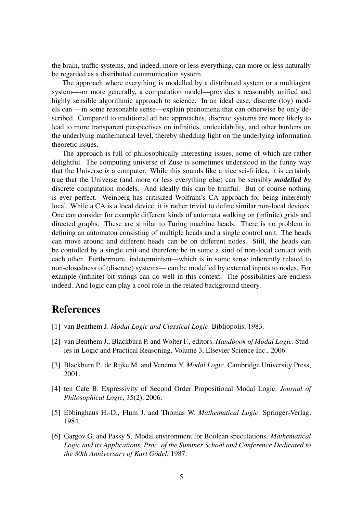the brain, traffic systems, and indeed, more or less everything, can more or less naturally be regarded as a distributed communication system.

The approach where everything is modelled by a distributed system or a multiagent system—-or more generally, a computation model—provides a reasonably unified and highly sensible algorithmic approach to science. In an ideal case, discrete (toy) models can —in some reasonable sense—explain phenomena that can otherwise be only described. Compared to traditional ad hoc approaches, discrete systems are more likely to lead to more transparent perspectives on infinities, undecidability, and other burdens on the underlying mathematical level, thereby shedding light on the underlying information theoretic issues.

The approach is full of philosophically interesting issues, some of which are rather delightful. The computing universe of Zuse is sometimes understood in the funny way that the Universe *is* a computer. While this sounds like a nice sci-fi idea, it is certainly true that the Universe (and more or less everything else) can be sensibly *modelled by* discrete computation models. And ideally this can be fruitful. But of course nothing is ever perfect. Weinberg has critisized Wolfram's CA approach for being inherently local. While a CA is a local device, it is rather trivial to define similar non-local devices. One can consider for example different kinds of automata walking on (infinite) grids and directed graphs. These are similar to Turing machine heads. There is no problem in defining an automaton consisting of multiple heads and a single control unit. The heads can move around and different heads can be on different nodes. Still, the heads can be contolled by a single unit and therefore be in some a kind of non-local contact with each other. Furthermore, indeterminism—which is in some sense inherently related to non-closedness of (discrete) systems— can be modelled by external inputs to nodes. For example (infinite) bit strings can do well in this context. The possibilities are endless indeed. And logic can play a cool role in the related background theory.

## References

- [1] van Benthem J. *Modal Logic and Classical Logic*. Bibliopolis, 1983.
- [2] van Benthem J., Blackburn P. and Wolter F., editors. *Handbook of Modal Logic*. Studies in Logic and Practical Reasoning, Volume 3, Elsevier Science Inc., 2006.
- [3] Blackburn P., de Rijke M. and Venema Y. *Modal Logic*. Cambridge University Press, 2001.
- [4] ten Cate B. Expressivity of Second Order Propositional Modal Logic. *Journal of Philosophical Logic*, 35(2), 2006.
- [5] Ebbinghaus H.-D., Flum J. and Thomas W. *Mathematical Logic*. Springer-Verlag, 1984.
- [6] Gargov G. and Passy S. Modal environment for Boolean speculations. *Mathematical Logic and its Applications, Proc. of the Summer School and Conference Dedicated to the 80th Anniversary of Kurt Gödel*, 1987.